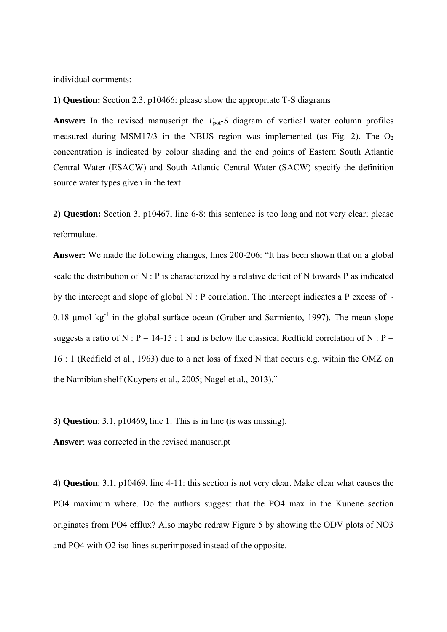## individual comments:

**1) Question:** Section 2.3, p10466: please show the appropriate T-S diagrams

**Answer:** In the revised manuscript the  $T_{pot}$ -*S* diagram of vertical water column profiles measured during MSM17/3 in the NBUS region was implemented (as Fig. 2). The  $O_2$ concentration is indicated by colour shading and the end points of Eastern South Atlantic Central Water (ESACW) and South Atlantic Central Water (SACW) specify the definition source water types given in the text.

**2) Question:** Section 3, p10467, line 6-8: this sentence is too long and not very clear; please reformulate.

**Answer:** We made the following changes, lines 200-206: "It has been shown that on a global scale the distribution of N : P is characterized by a relative deficit of N towards P as indicated by the intercept and slope of global N : P correlation. The intercept indicates a P excess of  $\sim$ 0.18  $\mu$ mol kg<sup>-1</sup> in the global surface ocean (Gruber and Sarmiento, 1997). The mean slope suggests a ratio of N : P = 14-15 : 1 and is below the classical Redfield correlation of N : P = 16 : 1 (Redfield et al., 1963) due to a net loss of fixed N that occurs e.g. within the OMZ on the Namibian shelf (Kuypers et al., 2005; Nagel et al., 2013)."

**3) Question**: 3.1, p10469, line 1: This is in line (is was missing).

**Answer**: was corrected in the revised manuscript

**4) Question**: 3.1, p10469, line 4-11: this section is not very clear. Make clear what causes the PO4 maximum where. Do the authors suggest that the PO4 max in the Kunene section originates from PO4 efflux? Also maybe redraw Figure 5 by showing the ODV plots of NO3 and PO4 with O2 iso-lines superimposed instead of the opposite.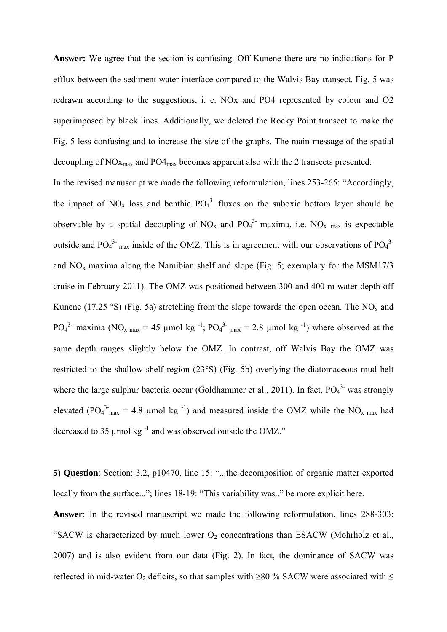**Answer:** We agree that the section is confusing. Off Kunene there are no indications for P efflux between the sediment water interface compared to the Walvis Bay transect. Fig. 5 was redrawn according to the suggestions, i. e. NOx and PO4 represented by colour and O2 superimposed by black lines. Additionally, we deleted the Rocky Point transect to make the Fig. 5 less confusing and to increase the size of the graphs. The main message of the spatial decoupling of  $NOx_{\text{max}}$  and  $PO4_{\text{max}}$  becomes apparent also with the 2 transects presented.

In the revised manuscript we made the following reformulation, lines 253-265: "Accordingly, the impact of  $NO_x$  loss and benthic  $PO_4^3$  fluxes on the suboxic bottom layer should be observable by a spatial decoupling of  $NO_x$  and  $PO_4^3$  maxima, i.e.  $NO_x$  max is expectable outside and  $PO_4^3$ <sup>-</sup> <sub>max</sub> inside of the OMZ. This is in agreement with our observations of  $PO_4^3$ <sup>-</sup> and  $NO<sub>x</sub>$  maxima along the Namibian shelf and slope (Fig. 5; exemplary for the MSM17/3 cruise in February 2011). The OMZ was positioned between 300 and 400 m water depth off Kunene (17.25 °S) (Fig. 5a) stretching from the slope towards the open ocean. The NO<sub>x</sub> and PO<sub>4</sub><sup>3</sup> maxima (NO<sub>x max</sub> = 45 µmol kg<sup>-1</sup>; PO<sub>4</sub><sup>3</sup> <sub>max</sub> = 2.8 µmol kg<sup>-1</sup>) where observed at the same depth ranges slightly below the OMZ. In contrast, off Walvis Bay the OMZ was restricted to the shallow shelf region (23°S) (Fig. 5b) overlying the diatomaceous mud belt where the large sulphur bacteria occur (Goldhammer et al., 2011). In fact,  $PO<sub>4</sub><sup>3</sup>$  was strongly elevated (PO<sub>4</sub><sup>3-</sup><sub>max</sub> = 4.8 µmol kg<sup>-1</sup>) and measured inside the OMZ while the NO<sub>x max</sub> had decreased to 35 µmol kg $^{-1}$  and was observed outside the OMZ."

**5) Question**: Section: 3.2, p10470, line 15: "...the decomposition of organic matter exported locally from the surface..."; lines 18-19: "This variability was.." be more explicit here.

**Answer**: In the revised manuscript we made the following reformulation, lines 288-303: "SACW is characterized by much lower  $O_2$  concentrations than ESACW (Mohrholz et al., 2007) and is also evident from our data (Fig. 2). In fact, the dominance of SACW was reflected in mid-water O<sub>2</sub> deficits, so that samples with  $\geq$ 80 % SACW were associated with  $\leq$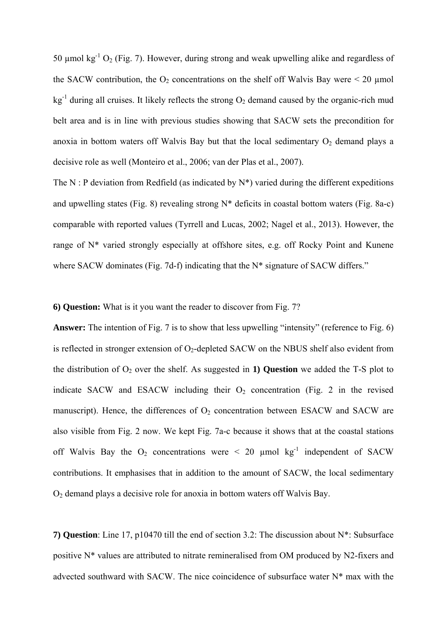50  $\mu$ mol kg<sup>-1</sup> O<sub>2</sub> (Fig. 7). However, during strong and weak upwelling alike and regardless of the SACW contribution, the  $O_2$  concentrations on the shelf off Walvis Bay were  $\leq 20$  µmol  $kg<sup>-1</sup>$  during all cruises. It likely reflects the strong  $O<sub>2</sub>$  demand caused by the organic-rich mud belt area and is in line with previous studies showing that SACW sets the precondition for anoxia in bottom waters off Walvis Bay but that the local sedimentary  $O<sub>2</sub>$  demand plays a decisive role as well (Monteiro et al., 2006; van der Plas et al., 2007).

The N : P deviation from Redfield (as indicated by  $N^*$ ) varied during the different expeditions and upwelling states (Fig. 8) revealing strong N\* deficits in coastal bottom waters (Fig. 8a-c) comparable with reported values (Tyrrell and Lucas, 2002; Nagel et al., 2013). However, the range of N\* varied strongly especially at offshore sites, e.g. off Rocky Point and Kunene where SACW dominates (Fig. 7d-f) indicating that the N<sup>\*</sup> signature of SACW differs."

## **6) Question:** What is it you want the reader to discover from Fig. 7?

**Answer:** The intention of Fig. 7 is to show that less upwelling "intensity" (reference to Fig. 6) is reflected in stronger extension of  $O<sub>2</sub>$ -depleted SACW on the NBUS shelf also evident from the distribution of  $O_2$  over the shelf. As suggested in **1) Question** we added the T-S plot to indicate SACW and ESACW including their  $O_2$  concentration (Fig. 2 in the revised manuscript). Hence, the differences of  $O<sub>2</sub>$  concentration between ESACW and SACW are also visible from Fig. 2 now. We kept Fig. 7a-c because it shows that at the coastal stations off Walvis Bay the  $O_2$  concentrations were  $\leq 20$  µmol kg<sup>-1</sup> independent of SACW contributions. It emphasises that in addition to the amount of SACW, the local sedimentary O2 demand plays a decisive role for anoxia in bottom waters off Walvis Bay.

**7) Question**: Line 17, p10470 till the end of section 3.2: The discussion about N\*: Subsurface positive N\* values are attributed to nitrate remineralised from OM produced by N2-fixers and advected southward with SACW. The nice coincidence of subsurface water N\* max with the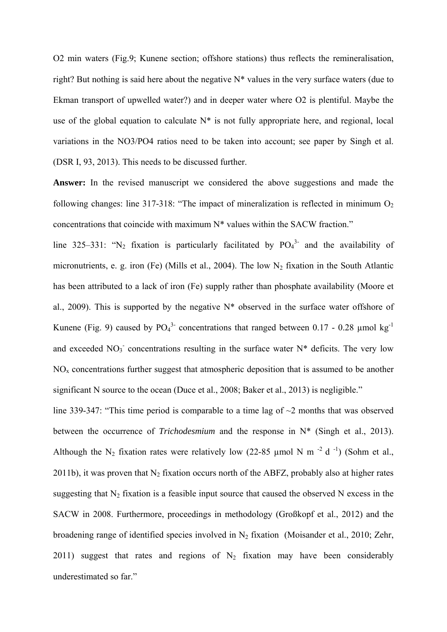O2 min waters (Fig.9; Kunene section; offshore stations) thus reflects the remineralisation, right? But nothing is said here about the negative N\* values in the very surface waters (due to Ekman transport of upwelled water?) and in deeper water where O2 is plentiful. Maybe the use of the global equation to calculate  $N^*$  is not fully appropriate here, and regional, local variations in the NO3/PO4 ratios need to be taken into account; see paper by Singh et al. (DSR I, 93, 2013). This needs to be discussed further.

**Answer:** In the revised manuscript we considered the above suggestions and made the following changes: line  $317-318$ : "The impact of mineralization is reflected in minimum O<sub>2</sub> concentrations that coincide with maximum N\* values within the SACW fraction."

line 325–331: "N<sub>2</sub> fixation is particularly facilitated by  $PO_4^3$  and the availability of micronutrients, e. g. iron (Fe) (Mills et al., 2004). The low N<sub>2</sub> fixation in the South Atlantic has been attributed to a lack of iron (Fe) supply rather than phosphate availability (Moore et al., 2009). This is supported by the negative  $N^*$  observed in the surface water offshore of Kunene (Fig. 9) caused by  $PO_4^3$  concentrations that ranged between 0.17 - 0.28 µmol kg<sup>-1</sup> and exceeded  $NO<sub>3</sub>$  concentrations resulting in the surface water  $N^*$  deficits. The very low  $NO<sub>x</sub>$  concentrations further suggest that atmospheric deposition that is assumed to be another significant N source to the ocean (Duce et al., 2008; Baker et al., 2013) is negligible."

line 339-347: "This time period is comparable to a time lag of  $\sim$ 2 months that was observed between the occurrence of *Trichodesmium* and the response in N\* (Singh et al., 2013). Although the N<sub>2</sub> fixation rates were relatively low (22-85 µmol N m<sup>-2</sup> d<sup>-1</sup>) (Sohm et al., 2011b), it was proven that  $N_2$  fixation occurs north of the ABFZ, probably also at higher rates suggesting that  $N_2$  fixation is a feasible input source that caused the observed N excess in the SACW in 2008. Furthermore, proceedings in methodology (Großkopf et al., 2012) and the broadening range of identified species involved in  $N_2$  fixation (Moisander et al., 2010; Zehr, 2011) suggest that rates and regions of  $N_2$  fixation may have been considerably underestimated so far."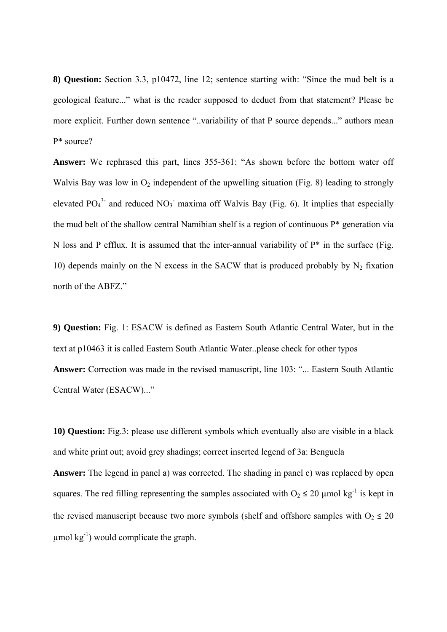**8) Question:** Section 3.3, p10472, line 12; sentence starting with: "Since the mud belt is a geological feature..." what is the reader supposed to deduct from that statement? Please be more explicit. Further down sentence "..variability of that P source depends..." authors mean P\* source?

**Answer:** We rephrased this part, lines 355-361: "As shown before the bottom water off Walvis Bay was low in  $O_2$  independent of the upwelling situation (Fig. 8) leading to strongly elevated  $PO_4^3$  and reduced  $NO_3$  maxima off Walvis Bay (Fig. 6). It implies that especially the mud belt of the shallow central Namibian shelf is a region of continuous P\* generation via N loss and P efflux. It is assumed that the inter-annual variability of  $P^*$  in the surface (Fig. 10) depends mainly on the N excess in the SACW that is produced probably by  $N_2$  fixation north of the ABFZ."

**9) Question:** Fig. 1: ESACW is defined as Eastern South Atlantic Central Water, but in the text at p10463 it is called Eastern South Atlantic Water..please check for other typos **Answer:** Correction was made in the revised manuscript, line 103: "... Eastern South Atlantic Central Water (ESACW)..."

**10) Question:** Fig.3: please use different symbols which eventually also are visible in a black and white print out; avoid grey shadings; correct inserted legend of 3a: Benguela **Answer:** The legend in panel a) was corrected. The shading in panel c) was replaced by open squares. The red filling representing the samples associated with  $O_2 \le 20 \mu$  mol kg<sup>-1</sup> is kept in the revised manuscript because two more symbols (shelf and offshore samples with  $O_2 \leq 20$ umol  $kg^{-1}$ ) would complicate the graph.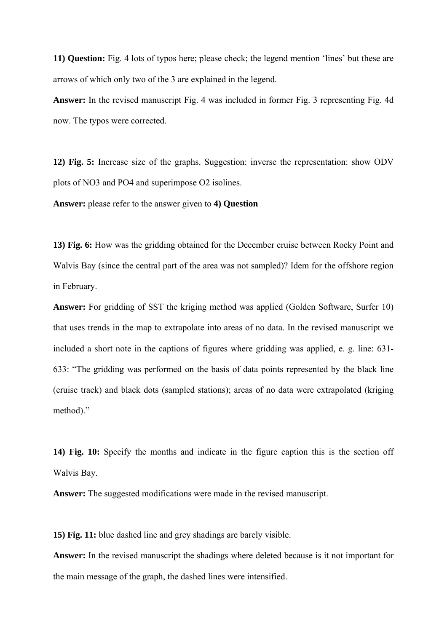**11) Question:** Fig. 4 lots of typos here; please check; the legend mention 'lines' but these are arrows of which only two of the 3 are explained in the legend.

**Answer:** In the revised manuscript Fig. 4 was included in former Fig. 3 representing Fig. 4d now. The typos were corrected.

**12) Fig. 5:** Increase size of the graphs. Suggestion: inverse the representation: show ODV plots of NO3 and PO4 and superimpose O2 isolines.

**Answer:** please refer to the answer given to **4) Question** 

**13) Fig. 6:** How was the gridding obtained for the December cruise between Rocky Point and Walvis Bay (since the central part of the area was not sampled)? Idem for the offshore region in February.

**Answer:** For gridding of SST the kriging method was applied (Golden Software, Surfer 10) that uses trends in the map to extrapolate into areas of no data. In the revised manuscript we included a short note in the captions of figures where gridding was applied, e. g. line: 631- 633: "The gridding was performed on the basis of data points represented by the black line (cruise track) and black dots (sampled stations); areas of no data were extrapolated (kriging method)."

**14) Fig. 10:** Specify the months and indicate in the figure caption this is the section off Walvis Bay.

**Answer:** The suggested modifications were made in the revised manuscript.

**15) Fig. 11:** blue dashed line and grey shadings are barely visible.

**Answer:** In the revised manuscript the shadings where deleted because is it not important for the main message of the graph, the dashed lines were intensified.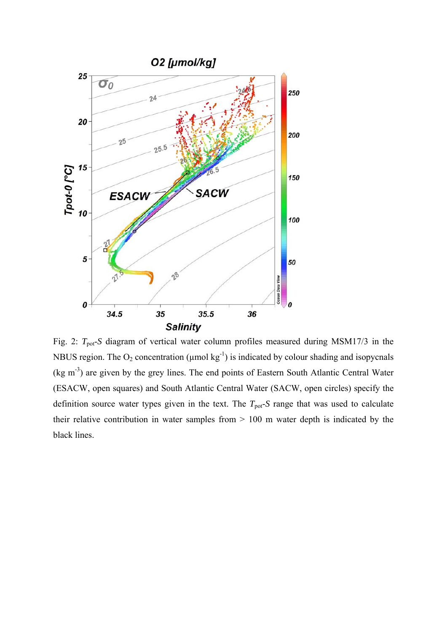

Fig. 2:  $T_{pot}$ -*S* diagram of vertical water column profiles measured during MSM17/3 in the NBUS region. The  $O_2$  concentration ( $\mu$ mol kg<sup>-1</sup>) is indicated by colour shading and isopycnals  $(kg m<sup>-3</sup>)$  are given by the grey lines. The end points of Eastern South Atlantic Central Water (ESACW, open squares) and South Atlantic Central Water (SACW, open circles) specify the definition source water types given in the text. The  $T_{pot}$ -*S* range that was used to calculate their relative contribution in water samples from > 100 m water depth is indicated by the black lines.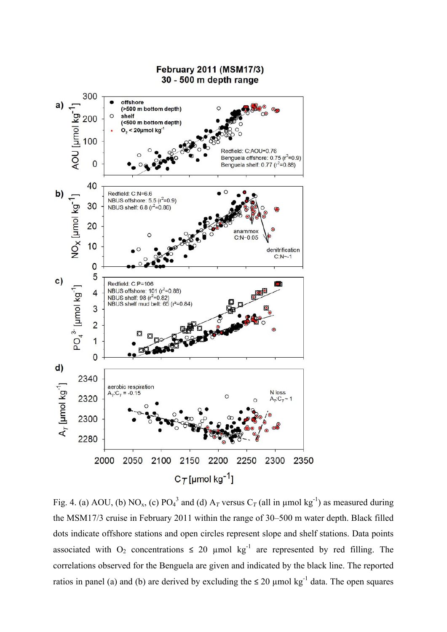

Fig. 4. (a) AOU, (b) NO<sub>x</sub>, (c) PO<sub>4</sub><sup>3</sup> and (d) A<sub>T</sub> versus C<sub>T</sub> (all in µmol kg<sup>-1</sup>) as measured during the MSM17/3 cruise in February 2011 within the range of 30–500 m water depth. Black filled dots indicate offshore stations and open circles represent slope and shelf stations. Data points associated with  $O_2$  concentrations  $\leq 20$  µmol kg<sup>-1</sup> are represented by red filling. The correlations observed for the Benguela are given and indicated by the black line. The reported ratios in panel (a) and (b) are derived by excluding the  $\leq 20$  µmol kg<sup>-1</sup> data. The open squares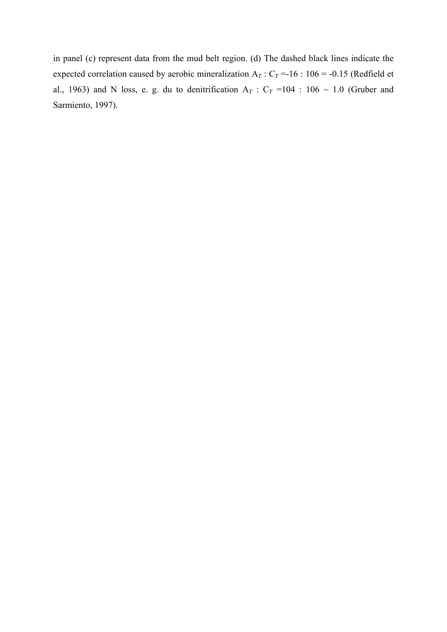in panel (c) represent data from the mud belt region. (d) The dashed black lines indicate the expected correlation caused by aerobic mineralization  $A_T$ :  $C_T$  =-16: 106 = -0.15 (Redfield et al., 1963) and N loss, e. g. du to denitrification  $A_T$  :  $C_T$  =104 : 106 ~ 1.0 (Gruber and Sarmiento, 1997).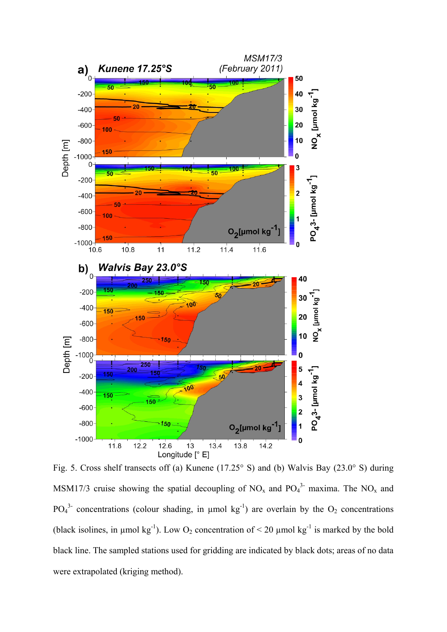

Fig. 5. Cross shelf transects off (a) Kunene (17.25° S) and (b) Walvis Bay (23.0° S) during MSM17/3 cruise showing the spatial decoupling of  $NO_x$  and  $PO_4^3$  maxima. The  $NO_x$  and  $PO<sub>4</sub><sup>3</sup>$  concentrations (colour shading, in µmol kg<sup>-1</sup>) are overlain by the  $O<sub>2</sub>$  concentrations (black isolines, in  $\mu$ mol kg<sup>-1</sup>). Low O<sub>2</sub> concentration of < 20  $\mu$ mol kg<sup>-1</sup> is marked by the bold black line. The sampled stations used for gridding are indicated by black dots; areas of no data were extrapolated (kriging method).